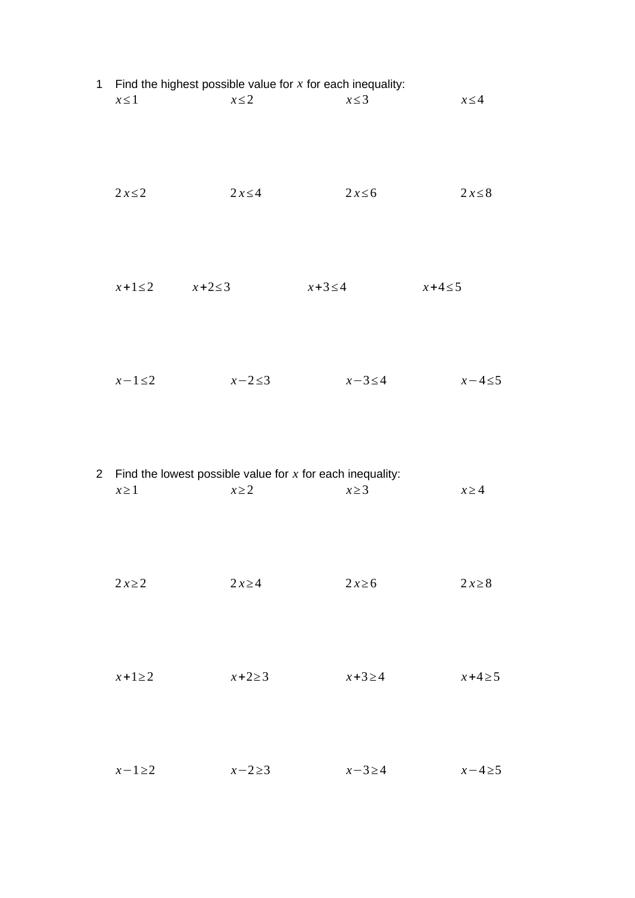|  | $x \leq 1$              | 1 Find the highest possible value for $x$ for each inequality:<br>$x \leq 2$ | $x \leq 3$   | $x \leq 4$  |
|--|-------------------------|------------------------------------------------------------------------------|--------------|-------------|
|  | $2x \leq 2$             | $2x \leq 4$                                                                  | $2x \leq 6$  | $2x \leq 8$ |
|  | $x+1\leq 2$ $x+2\leq 3$ |                                                                              | $x+3 \leq 4$ | $x+4\leq 5$ |
|  | $x-1\leq 2$             | $x-2\leq 3$                                                                  | $x-3\leq 4$  | $x-4\leq 5$ |
|  | $x \geq 1$              | 2 Find the lowest possible value for $x$ for each inequality:<br>$x \geq 2$  | $x \geq 3$   | $x \geq 4$  |
|  | $2x\geq 2$              | $2x\geq 4$                                                                   | $2x\ge 6$    | $2x\ge8$    |
|  | $x+1\geq 2$             | $x+2\geq 3$                                                                  | $x+3\geq 4$  | $x+4\geq 5$ |
|  | $x-1\geq 2$             | $x-2\geq 3$                                                                  | $x-3\geq 4$  | $x-4\geq5$  |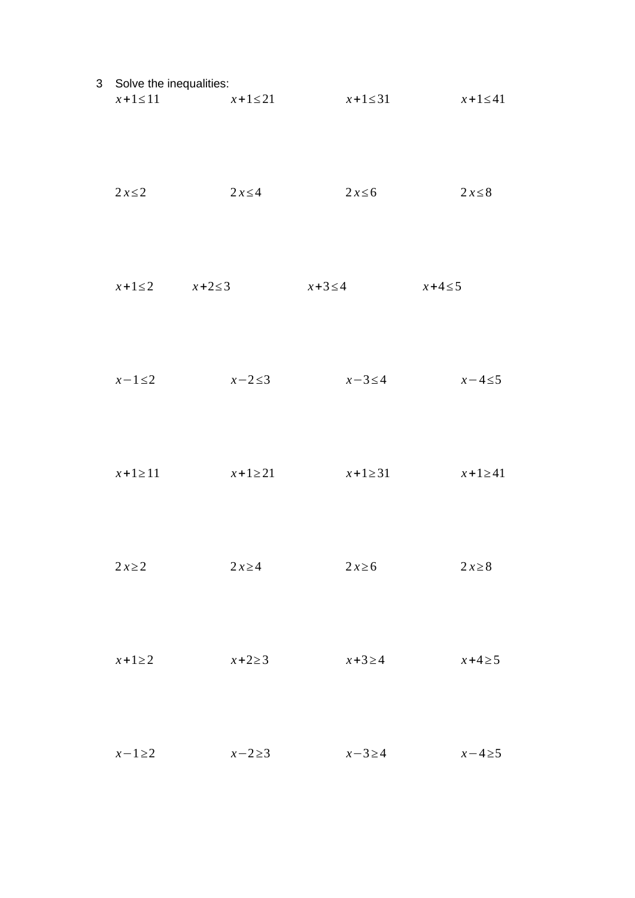| 3 Solve the inequalities:<br>$x+1 \le 11$ $x+1 \le 21$ |              | $x+1\leq 31$ | $x+1 \leq 41$ |
|--------------------------------------------------------|--------------|--------------|---------------|
| $2x \leq 2$                                            | $2x \leq 4$  | $2x \leq 6$  | $2x \leq 8$   |
| $x+1\leq 2$ $x+2\leq 3$                                |              | $x+3\leq 4$  | $x+4\leq 5$   |
| $x-1\leq 2$                                            | $x-2\leq 3$  | $x-3\leq 4$  | $x-4\leq 5$   |
| $x + 1 \ge 11$                                         | $x+1\geq 21$ | $x+1\geq 31$ | $x+1\geq 41$  |
| $2x\geq 2$                                             | $2x\geq 4$   | $2x\ge 6$    | $2x\ge8$      |
| $x+1\geq 2$                                            | $x+2\geq 3$  | $x+3\geq 4$  | $x+4\geq 5$   |
| $x-1\geq 2$                                            | $x-2\geq 3$  | $x-3\geq 4$  | $x-4\geq5$    |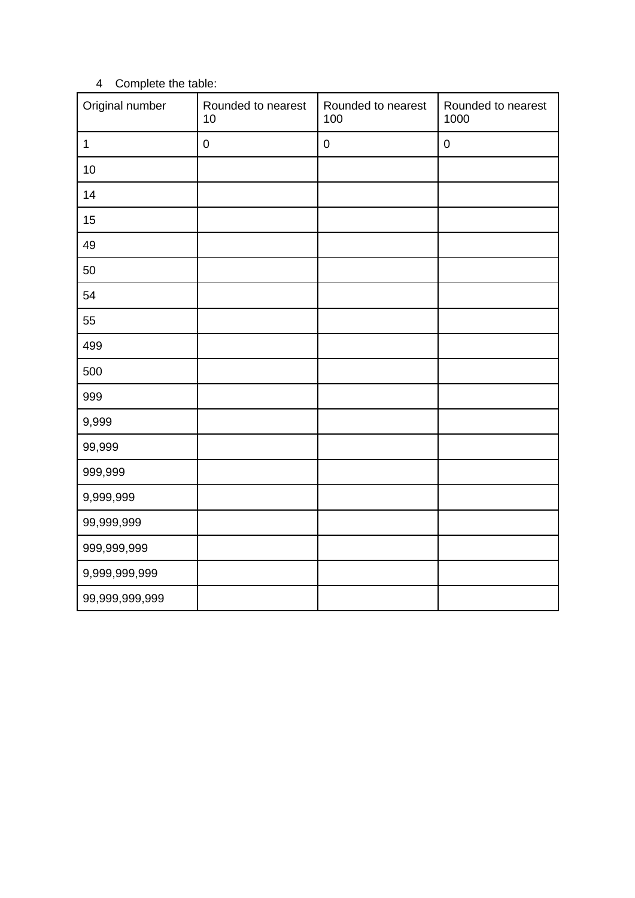## 4 Complete the table:

| Original number | Rounded to nearest<br>10 | Rounded to nearest<br>100 | Rounded to nearest<br>1000 |
|-----------------|--------------------------|---------------------------|----------------------------|
| $\mathbf 1$     | $\pmb{0}$                | $\mathsf{O}\xspace$       | $\pmb{0}$                  |
| 10              |                          |                           |                            |
| 14              |                          |                           |                            |
| 15              |                          |                           |                            |
| 49              |                          |                           |                            |
| 50              |                          |                           |                            |
| 54              |                          |                           |                            |
| 55              |                          |                           |                            |
| 499             |                          |                           |                            |
| 500             |                          |                           |                            |
| 999             |                          |                           |                            |
| 9,999           |                          |                           |                            |
| 99,999          |                          |                           |                            |
| 999,999         |                          |                           |                            |
| 9,999,999       |                          |                           |                            |
| 99,999,999      |                          |                           |                            |
| 999,999,999     |                          |                           |                            |
| 9,999,999,999   |                          |                           |                            |
| 99,999,999,999  |                          |                           |                            |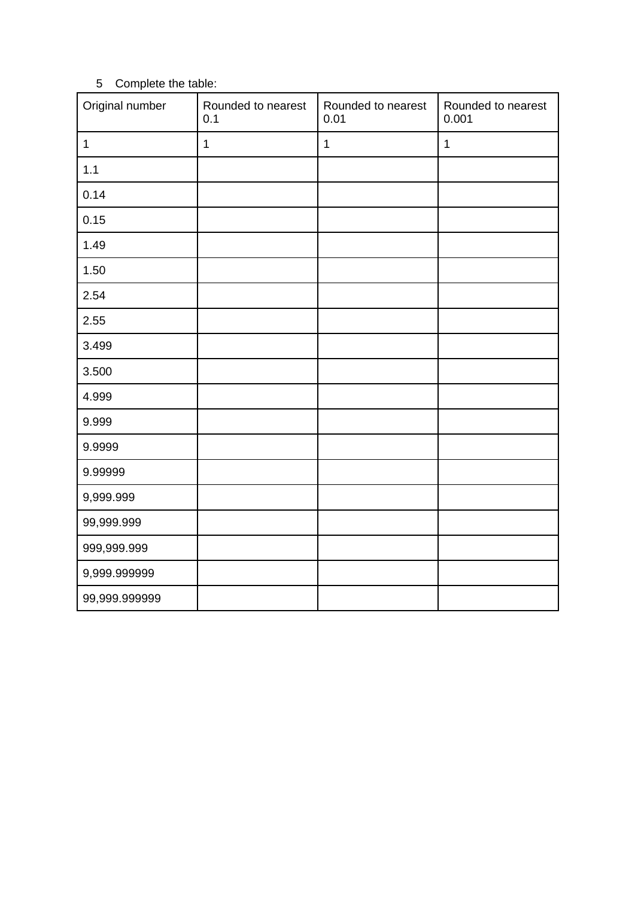## 5 Complete the table:

| Original number | Rounded to nearest<br>0.1 | Rounded to nearest<br>0.01 | Rounded to nearest<br>0.001 |
|-----------------|---------------------------|----------------------------|-----------------------------|
| $\mathbf 1$     | $\mathbf 1$               | $\mathbf 1$                | $\mathbf 1$                 |
| 1.1             |                           |                            |                             |
| 0.14            |                           |                            |                             |
| 0.15            |                           |                            |                             |
| 1.49            |                           |                            |                             |
| 1.50            |                           |                            |                             |
| 2.54            |                           |                            |                             |
| 2.55            |                           |                            |                             |
| 3.499           |                           |                            |                             |
| 3.500           |                           |                            |                             |
| 4.999           |                           |                            |                             |
| 9.999           |                           |                            |                             |
| 9.9999          |                           |                            |                             |
| 9.99999         |                           |                            |                             |
| 9,999.999       |                           |                            |                             |
| 99,999.999      |                           |                            |                             |
| 999,999.999     |                           |                            |                             |
| 9,999.999999    |                           |                            |                             |
| 99,999.999999   |                           |                            |                             |